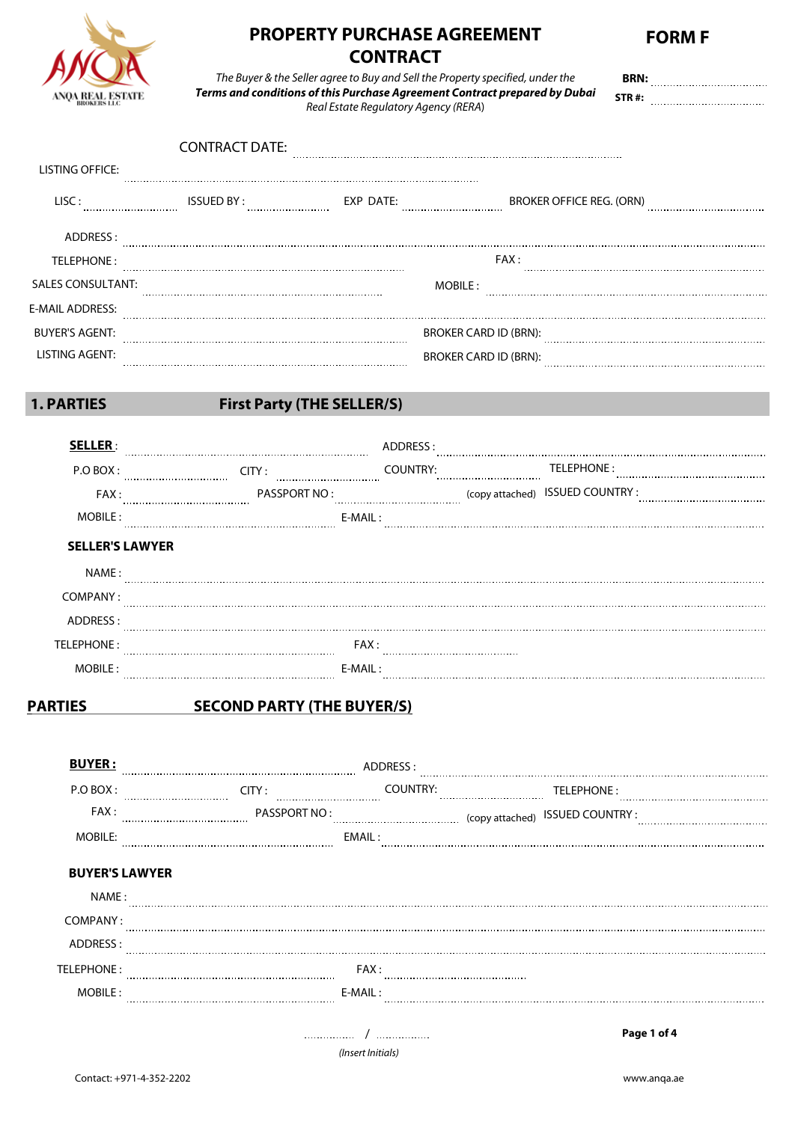

# **PROPERTY PURCHASE AGREEMENT CONTRACT**

*The Buyer & the Seller agree to Buy and Sell the Property specified, under the Terms and conditions of this Purchase Agreement Contract prepared by Dubai Real Estate Regulatory Agency (RERA*)

**STR #: BRN:**

|                          | <b>CONTRACT DATE:</b> |           |                                 |  |
|--------------------------|-----------------------|-----------|---------------------------------|--|
| <b>LISTING OFFICE:</b>   |                       |           |                                 |  |
| LISC:                    | <b>ISSUED BY:</b><br> | EXP DATE: | <b>BROKER OFFICE REG. (ORN)</b> |  |
| ADDRESS:                 |                       |           |                                 |  |
| TELEPHONE:               |                       |           | FAX:                            |  |
| <b>SALES CONSULTANT:</b> |                       |           | MOBILE:                         |  |
| E-MAIL ADDRESS:          |                       |           |                                 |  |
| <b>BUYER'S AGENT:</b>    |                       |           | <b>BROKER CARD ID (BRN):</b>    |  |
| LISTING AGENT:           |                       |           | <b>BROKER CARD ID (BRN):</b>    |  |

# **1. PARTIES First Party (THE SELLER/S)**

| $P \cap B \cap X$ : | $\Box$ ty :      | ั∩UNTRY∙  | TELEPHONE:                       |
|---------------------|------------------|-----------|----------------------------------|
| FAX :               | <br>PASSPORT NO: |           | (copy attached) ISSUED COUNTRY : |
| MOBILE :            |                  | $F-MAll:$ |                                  |

| NAME:      |          |
|------------|----------|
| COMPANY:   |          |
| ADDRESS:   |          |
| TELEPHONE: | FAX:     |
| MOBILE:    | F-MAII · |

# **PARTIES SECOND PARTY (THE BUYER/S)**

| <b>BUYER:</b>         |              | ADDRESS ·             |                                 |
|-----------------------|--------------|-----------------------|---------------------------------|
| P.O BOX:              | CITY:<br>    | <b>COUNTRY:</b>       | TELEPHONE:                      |
| FAX :                 | PASSPORT NO: |                       | (copy attached) ISSUED COUNTRY: |
| <b>MOBILE:</b>        |              | EMAIL:                |                                 |
| <b>BUYER'S LAWYER</b> |              |                       |                                 |
| NAME :                |              |                       |                                 |
| COMPANY:              |              |                       |                                 |
| ADDRESS:              |              |                       |                                 |
| TELEPHONE:            |              | FAX:                  |                                 |
| MOBILE:               |              | E-MAIL:               |                                 |
|                       | .            | <br>(Insert Initials) | Page 1 of 4                     |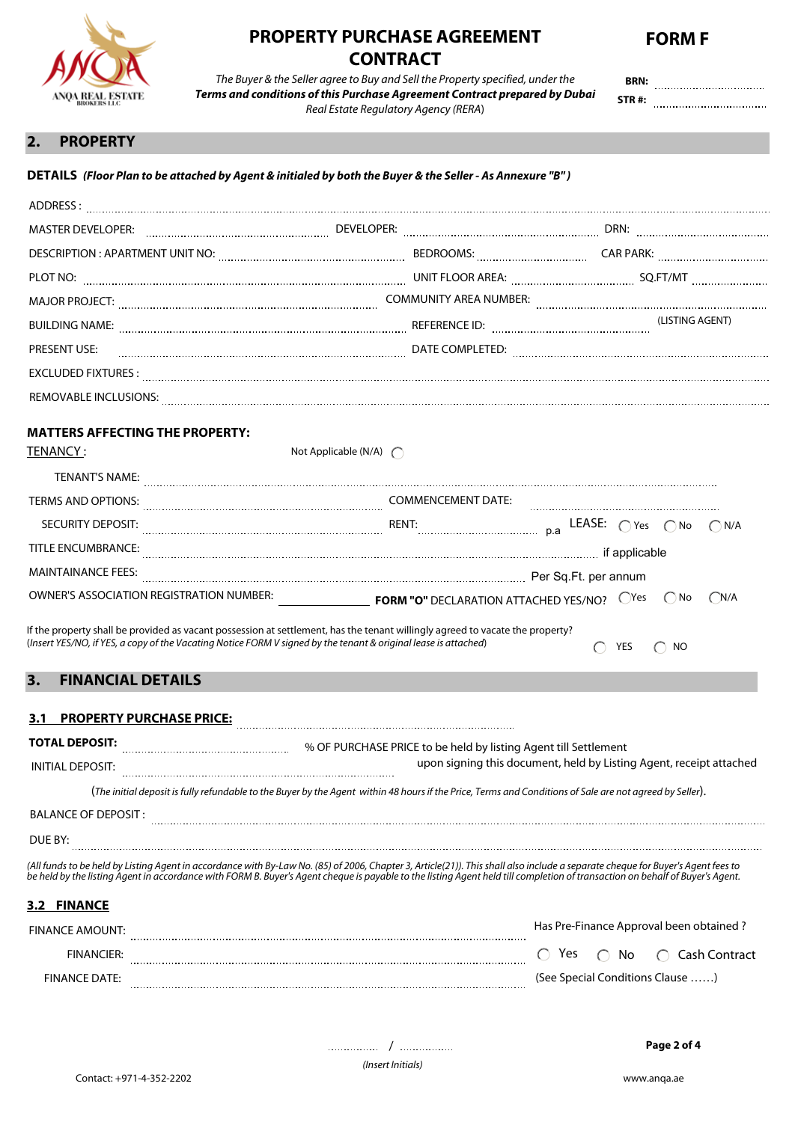

# **PROPERTY PURCHASE AGREEMENT CONTRACT**



*The Buyer & the Seller agree to Buy and Sell the Property specified, under the Terms and conditions of this Purchase Agreement Contract prepared by Dubai Real Estate Regulatory Agency (RERA*)

 **BRN: STR #:**

## **2. PROPERTY**

#### **DETAILS** *(Floor Plan to be attached by Agent & initialed by both the Buyer & the Seller - As Annexure "B" )*

| MASTER DEVELOPER: <b>www.communication.communication.communication</b> Developer: www.communication.communication.communication.com                                                                                                              |                                |           |     |                 |               |
|--------------------------------------------------------------------------------------------------------------------------------------------------------------------------------------------------------------------------------------------------|--------------------------------|-----------|-----|-----------------|---------------|
| DESCRIPTION : APARTMENT UNIT NO: WELL AND THE MAGNIFICATIONS: BEDROOMS: MAGNIFICATION CAR PARK: WELL APARTMENT                                                                                                                                   |                                |           |     |                 |               |
| PLOT NO: <b>With The Contract Contract Contract Contract Contract Contract Contract Contract Contract Contract Contract Contract Contract Contract Contract Contract Contract Contract Contract Contract Contract Contract Contr</b>             |                                |           |     |                 |               |
|                                                                                                                                                                                                                                                  |                                |           |     |                 |               |
| <b>BUILDING NAME:</b>                                                                                                                                                                                                                            |                                |           |     | (LISTING AGENT) |               |
| <b>PRESENT USE:</b>                                                                                                                                                                                                                              |                                |           |     |                 |               |
|                                                                                                                                                                                                                                                  |                                |           |     |                 |               |
| REMOVABLE INCLUSIONS: www.watcherite.com/watch?university.com/watch?university.com/watch?university.com/watch?u                                                                                                                                  |                                |           |     |                 |               |
| <b>MATTERS AFFECTING THE PROPERTY:</b><br>TENANCY:                                                                                                                                                                                               | Not Applicable (N/A) $\bigcap$ |           |     |                 |               |
|                                                                                                                                                                                                                                                  |                                |           |     |                 |               |
| <b>TERMS AND OPTIONS:</b>                                                                                                                                                                                                                        | <b>COMMENCEMENT DATE:</b>      |           |     |                 |               |
| SECURITY DEPOSIT:                                                                                                                                                                                                                                |                                |           |     |                 |               |
| <b>TITLE ENCUMBRANCE:</b>                                                                                                                                                                                                                        |                                |           |     |                 |               |
| <b>MAINTAINANCE FEES:</b>                                                                                                                                                                                                                        |                                |           |     |                 |               |
| OWNER'S ASSOCIATION REGISTRATION NUMBER: <b>CONSECTED TORM "O"</b> DECLARATION ATTACHED YES/NO? O Yes O No                                                                                                                                       |                                |           |     |                 | $\bigcap N/A$ |
| If the property shall be provided as vacant possession at settlement, has the tenant willingly agreed to vacate the property?<br>(Insert YES/NO, if YES, a copy of the Vacating Notice FORM V signed by the tenant & original lease is attached) |                                | $\bigcap$ | YES | <b>NO</b>       |               |

#### **3. FINANCIAL DETAILS**

#### **3.1 PROPERTY PURCHASE PRICE:**

| <b>TOTAL DEPOSIT:</b> | % OF PURCHASE PRICE to be held by listing Agent till Settlement                                                                                          |
|-----------------------|----------------------------------------------------------------------------------------------------------------------------------------------------------|
| INITIAI DEPOSIT:      | upon signing this document, held by Listing Agent, receipt attached                                                                                      |
|                       | (The initial deposit is fully refundable to the Buyer by the Agent within 48 hours if the Price, Terms and Conditions of Sale are not agreed by Seller). |
| BALANCE OF DEPOSIT :  |                                                                                                                                                          |
| DUE BY:               |                                                                                                                                                          |

*(All funds to be held by Listing Agent in accordance with By-Law No. (85) of 2006, Chapter 3, Article(21)). This shall also include a separate cheque for Buyer's Agent fees to be held by the listing Agent in accordance with FORM B. Buyer's Agent cheque is payable to the listing Agent held till completion of transaction on behalf of Buyer's Agent.* 

#### **3.2 FINANCE**

| FINANCE AMOUNT: |  |                      | Has Pre-Finance Approval been obtained? |
|-----------------|--|----------------------|-----------------------------------------|
| FINANCIFR:      |  | Yes $\bigcap$<br>No. | ○ Cash Contract                         |
| FINANCE DATE:   |  |                      | (See Special Conditions Clause )        |

/ **Page 2 of 4**

*(Insert Initials)*

. . . . . . . . . . . . . . .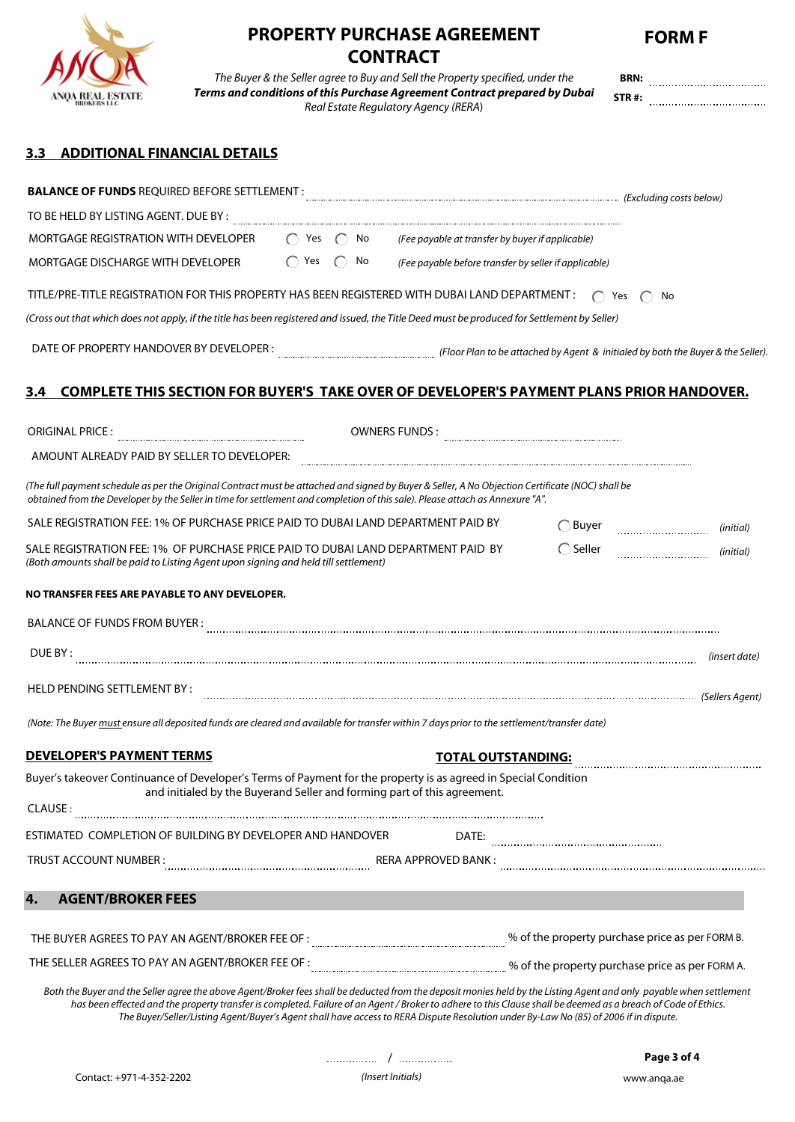

# **PROPERTY PURCHASE AGREEMENT FORM F**

|                                                |                                                                                                                                                                                                                                                                                                                                                                                                                                                                                 | <b>CONTRACT</b>                      |                   |                     |
|------------------------------------------------|---------------------------------------------------------------------------------------------------------------------------------------------------------------------------------------------------------------------------------------------------------------------------------------------------------------------------------------------------------------------------------------------------------------------------------------------------------------------------------|--------------------------------------|-------------------|---------------------|
|                                                | The Buyer & the Seller agree to Buy and Sell the Property specified, under the                                                                                                                                                                                                                                                                                                                                                                                                  |                                      |                   |                     |
|                                                | Terms and conditions of this Purchase Agreement Contract prepared by Dubai                                                                                                                                                                                                                                                                                                                                                                                                      | Real Estate Regulatory Agency (RERA) |                   | STR#:               |
| <b>ADDITIONAL FINANCIAL DETAILS</b><br>3.3     |                                                                                                                                                                                                                                                                                                                                                                                                                                                                                 |                                      |                   |                     |
|                                                | <b>BALANCE OF FUNDS</b> REQUIRED BEFORE SETTLEMENT : <b>MALLANGE ARE A SET ASSESSED AS A SET ASSESS</b> (Excluding costs below)                                                                                                                                                                                                                                                                                                                                                 |                                      |                   |                     |
| TO BE HELD BY LISTING AGENT. DUE BY :          |                                                                                                                                                                                                                                                                                                                                                                                                                                                                                 |                                      |                   |                     |
|                                                | MORTGAGE REGISTRATION WITH DEVELOPER $\bigcirc$ Yes $\bigcirc$ No (Fee payable at transfer by buyer if applicable)                                                                                                                                                                                                                                                                                                                                                              |                                      |                   |                     |
|                                                | MORTGAGE DISCHARGE WITH DEVELOPER $\bigcirc$ Yes $\bigcirc$ No (Fee payable before transfer by seller if applicable)                                                                                                                                                                                                                                                                                                                                                            |                                      |                   |                     |
|                                                | TITLE/PRE-TITLE REGISTRATION FOR THIS PROPERTY HAS BEEN REGISTERED WITH DUBAI LAND DEPARTMENT: $\bigcap$ Yes $\bigcap$ No                                                                                                                                                                                                                                                                                                                                                       |                                      |                   |                     |
|                                                | (Cross out that which does not apply, if the title has been registered and issued, the Title Deed must be produced for Settlement by Seller)                                                                                                                                                                                                                                                                                                                                    |                                      |                   |                     |
|                                                |                                                                                                                                                                                                                                                                                                                                                                                                                                                                                 |                                      |                   |                     |
| 3.4                                            | <b>COMPLETE THIS SECTION FOR BUYER'S TAKE OVER OF DEVELOPER'S PAYMENT PLANS PRIOR HANDOVER.</b>                                                                                                                                                                                                                                                                                                                                                                                 |                                      |                   |                     |
|                                                |                                                                                                                                                                                                                                                                                                                                                                                                                                                                                 |                                      |                   |                     |
|                                                |                                                                                                                                                                                                                                                                                                                                                                                                                                                                                 |                                      |                   |                     |
|                                                | AMOUNT ALREADY PAID BY SELLER TO DEVELOPER:                                                                                                                                                                                                                                                                                                                                                                                                                                     |                                      |                   |                     |
|                                                | (The full payment schedule as per the Original Contract must be attached and signed by Buyer & Seller, A No Objection Certificate (NOC) shall be<br>obtained from the Developer by the Seller in time for settlement and completion of this sale). Please attach as Annexure "A".                                                                                                                                                                                               |                                      |                   |                     |
|                                                | SALE REGISTRATION FEE: 1% OF PURCHASE PRICE PAID TO DUBAI LAND DEPARTMENT PAID BY                                                                                                                                                                                                                                                                                                                                                                                               |                                      | $\bigcap$ Buyer   |                     |
|                                                | SALE REGISTRATION FEE: 1%  OF PURCHASE PRICE PAID TO DUBAI LAND DEPARTMENT PAID  BY<br>(Both amounts shall be paid to Listing Agent upon signing and held till settlement)                                                                                                                                                                                                                                                                                                      |                                      | $\bigcirc$ Seller | (initial) (initial) |
| NO TRANSFER FEES ARE PAYABLE TO ANY DEVELOPER. |                                                                                                                                                                                                                                                                                                                                                                                                                                                                                 |                                      |                   |                     |
| <b>BALANCE OF FUNDS FROM BUYER:</b>            |                                                                                                                                                                                                                                                                                                                                                                                                                                                                                 |                                      |                   |                     |
| DUE BY:                                        |                                                                                                                                                                                                                                                                                                                                                                                                                                                                                 |                                      |                   | (insert date)       |
| HELD PENDING SETTLEMENT BY:                    |                                                                                                                                                                                                                                                                                                                                                                                                                                                                                 |                                      |                   |                     |
|                                                | (Note: The Buyer must ensure all deposited funds are cleared and available for transfer within 7 days prior to the settlement/transfer date)                                                                                                                                                                                                                                                                                                                                    |                                      |                   |                     |
| <b>DEVELOPER'S PAYMENT TERMS</b>               |                                                                                                                                                                                                                                                                                                                                                                                                                                                                                 | <b>TOTAL OUTSTANDING:</b>            |                   |                     |
|                                                | Buyer's takeover Continuance of Developer's Terms of Payment for the property is as agreed in Special Condition<br>and initialed by the Buyerand Seller and forming part of this agreement.                                                                                                                                                                                                                                                                                     |                                      |                   |                     |
| CLAUSE:                                        |                                                                                                                                                                                                                                                                                                                                                                                                                                                                                 |                                      |                   |                     |
|                                                | ESTIMATED COMPLETION OF BUILDING BY DEVELOPER AND HANDOVER                                                                                                                                                                                                                                                                                                                                                                                                                      | DATE:                                |                   |                     |
| TRUST ACCOUNT NUMBER :                         |                                                                                                                                                                                                                                                                                                                                                                                                                                                                                 |                                      |                   |                     |
| <b>AGENT/BROKER FEES</b><br>4.                 |                                                                                                                                                                                                                                                                                                                                                                                                                                                                                 |                                      |                   |                     |
|                                                |                                                                                                                                                                                                                                                                                                                                                                                                                                                                                 |                                      |                   |                     |
|                                                | THE SELLER AGREES TO PAY AN AGENT/BROKER FEE OF : CONCORDING THE SOLUTION Of the property purchase price as per FORM A.                                                                                                                                                                                                                                                                                                                                                         |                                      |                   |                     |
|                                                | Both the Buyer and the Seller agree the above Agent/Broker fees shall be deducted from the deposit monies held by the Listing Agent and only payable when settlement<br>has been effected and the property transfer is completed. Failure of an Agent / Broker to adhere to this Clause shall be deemed as a breach of Code of Ethics.<br>The Buyer/Seller/Listing Agent/Buyer's Agent shall have access to RERA Dispute Resolution under By-Law No (85) of 2006 if in dispute. |                                      |                   |                     |

/ **Page 3 of 4**